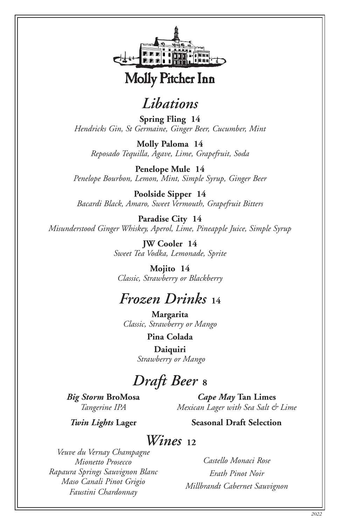

## *Libations*

**Spring Fling 14** *Hendricks Gin, St Germaine, Ginger Beer, Cucumber, Mint*

**Molly Paloma 14** *Reposado Tequilla, Agave, Lime, Grapefruit, Soda*

**Penelope Mule 14** *Penelope Bourbon, Lemon, Mint, Simple Syrup, Ginger Beer*

**Poolside Sipper 14** *Bacardi Black, Amaro, Sweet Vermouth, Grapefruit Bitters*

**Paradise City 14** *Misunderstood Ginger Whiskey, Aperol, Lime, Pineapple Juice, Simple Syrup*

> **JW Cooler 14** *Sweet Tea Vodka, Lemonade, Sprite*

**Mojito 14** *Classic, Strawberry or Blackberry*

### *Frozen Drinks* **<sup>14</sup>**

**Margarita** *Classic, Strawberry or Mango* 

**Pina Colada**

**Daiquiri**  *Strawberry or Mango*

# *Draft Beer* **8**

*Big Storm* **BroMosa** *Tangerine IPA*

*Cape May* **Tan Limes** *Mexican Lager with Sea Salt & Lime*

*Twin Lights* **Lager**

**Seasonal Draft Selection**

#### *Wines*<sub>12</sub>

*Veuve du Vernay Champagne Mionetto Prosecco Rapaura Springs Sauvignon Blanc Maso Canali Pinot Grigio Faustini Chardonnay*

*Castello Monaci Rose Erath Pinot Noir Millbrandt Cabernet Sauvignon*